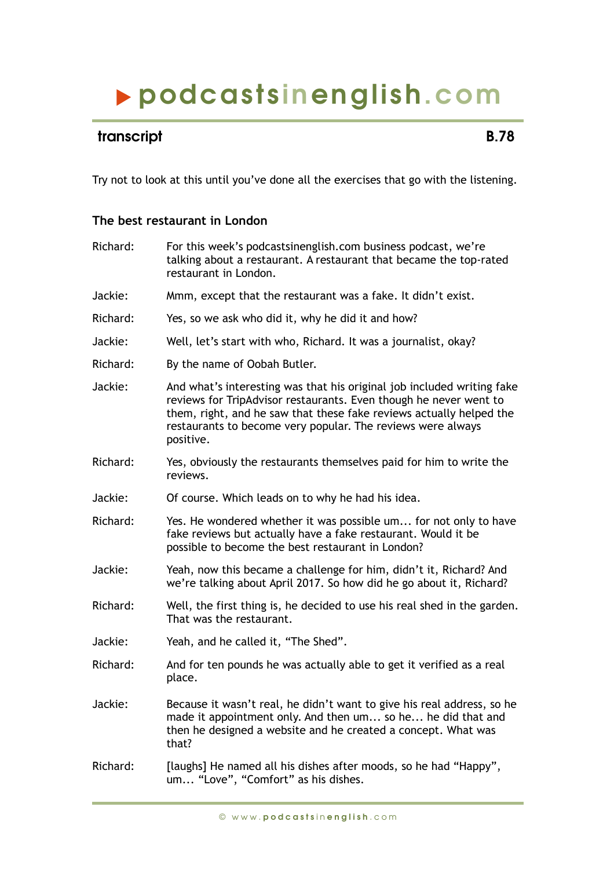# podcasts inenglish.com

### transcript **B.78**

Try not to look at this until you've done all the exercises that go with the listening.

#### **The best restaurant in London**

| Richard: | For this week's podcastsinenglish.com business podcast, we're<br>talking about a restaurant. A restaurant that became the top-rated<br>restaurant in London.                                                                                                                                   |
|----------|------------------------------------------------------------------------------------------------------------------------------------------------------------------------------------------------------------------------------------------------------------------------------------------------|
| Jackie:  | Mmm, except that the restaurant was a fake. It didn't exist.                                                                                                                                                                                                                                   |
| Richard: | Yes, so we ask who did it, why he did it and how?                                                                                                                                                                                                                                              |
| Jackie:  | Well, let's start with who, Richard. It was a journalist, okay?                                                                                                                                                                                                                                |
| Richard: | By the name of Oobah Butler.                                                                                                                                                                                                                                                                   |
| Jackie:  | And what's interesting was that his original job included writing fake<br>reviews for TripAdvisor restaurants. Even though he never went to<br>them, right, and he saw that these fake reviews actually helped the<br>restaurants to become very popular. The reviews were always<br>positive. |
| Richard: | Yes, obviously the restaurants themselves paid for him to write the<br>reviews.                                                                                                                                                                                                                |
| Jackie:  | Of course. Which leads on to why he had his idea.                                                                                                                                                                                                                                              |
| Richard: | Yes. He wondered whether it was possible um for not only to have<br>fake reviews but actually have a fake restaurant. Would it be<br>possible to become the best restaurant in London?                                                                                                         |
| Jackie:  | Yeah, now this became a challenge for him, didn't it, Richard? And<br>we're talking about April 2017. So how did he go about it, Richard?                                                                                                                                                      |
| Richard: | Well, the first thing is, he decided to use his real shed in the garden.<br>That was the restaurant.                                                                                                                                                                                           |
| Jackie:  | Yeah, and he called it, "The Shed".                                                                                                                                                                                                                                                            |
| Richard: | And for ten pounds he was actually able to get it verified as a real<br>place.                                                                                                                                                                                                                 |
| Jackie:  | Because it wasn't real, he didn't want to give his real address, so he<br>made it appointment only. And then um so he he did that and<br>then he designed a website and he created a concept. What was<br>that?                                                                                |
| Richard: | [laughs] He named all his dishes after moods, so he had "Happy",<br>um "Love", "Comfort" as his dishes.                                                                                                                                                                                        |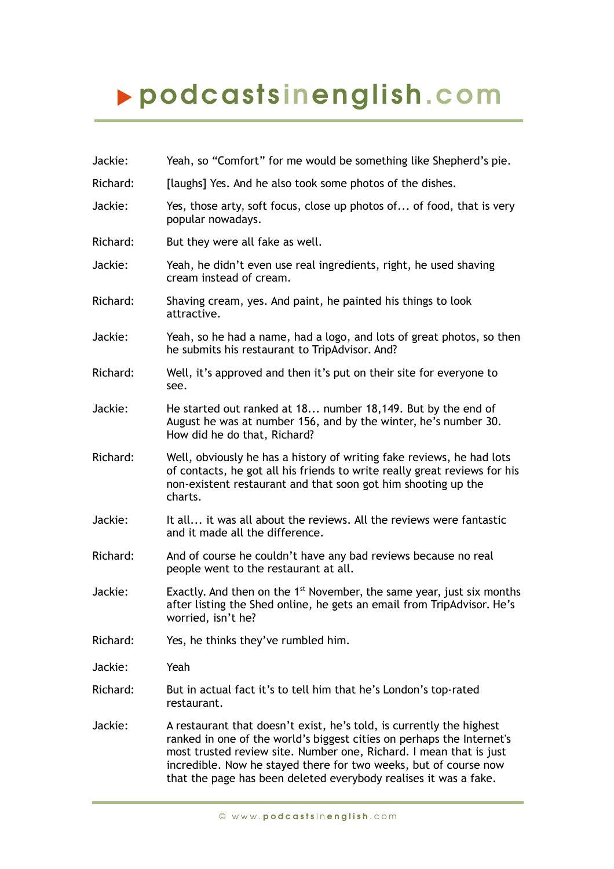# podcasts inenglish.com

Jackie: Yeah, so "Comfort" for me would be something like Shepherd's pie. Richard: [laughs] Yes. And he also took some photos of the dishes. Jackie: Yes, those arty, soft focus, close up photos of... of food, that is very popular nowadays. Richard: But they were all fake as well. Jackie: Yeah, he didn't even use real ingredients, right, he used shaving cream instead of cream. Richard: Shaving cream, yes. And paint, he painted his things to look attractive. Jackie: Yeah, so he had a name, had a logo, and lots of great photos, so then he submits his restaurant to TripAdvisor. And? Richard: Well, it's approved and then it's put on their site for everyone to see. Jackie: He started out ranked at 18... number 18,149. But by the end of August he was at number 156, and by the winter, he's number 30. How did he do that, Richard? Richard: Well, obviously he has a history of writing fake reviews, he had lots of contacts, he got all his friends to write really great reviews for his non-existent restaurant and that soon got him shooting up the charts. Jackie: It all... it was all about the reviews. All the reviews were fantastic and it made all the difference. Richard: And of course he couldn't have any bad reviews because no real people went to the restaurant at all. Jackie: Exactly. And then on the  $1<sup>st</sup>$  November, the same year, just six months after listing the Shed online, he gets an email from TripAdvisor. He's worried, isn't he? Richard: Yes, he thinks they've rumbled him. Jackie: Yeah Richard: But in actual fact it's to tell him that he's London's top-rated restaurant. Jackie: A restaurant that doesn't exist, he's told, is currently the highest ranked in one of the world's biggest cities on perhaps the Internet's most trusted review site. Number one, Richard. I mean that is just incredible. Now he stayed there for two weeks, but of course now that the page has been deleted everybody realises it was a fake.